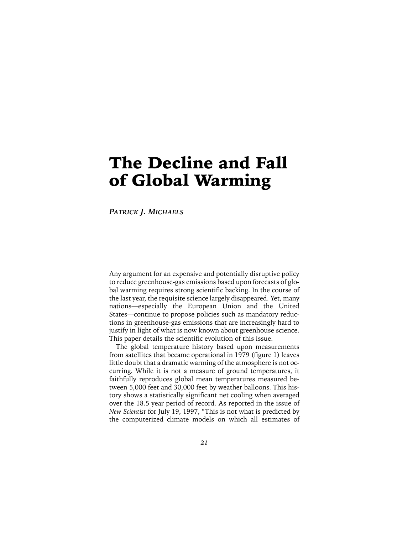# The Decline and Fall of Global Warming

*PATRICK J. MICHAELS*

Any argument for an expensive and potentially disruptive policy to reduce greenhouse-gas emissions based upon forecasts of global warming requires strong scientific backing. In the course of the last year, the requisite science largely disappeared. Yet, many nations—especially the European Union and the United States—continue to propose policies such as mandatory reductions in greenhouse-gas emissions that are increasingly hard to justify in light of what is now known about greenhouse science. This paper details the scientific evolution of this issue.

The global temperature history based upon measurements from satellites that became operational in 1979 (figure 1) leaves little doubt that a dramatic warming of the atmosphere is not occurring. While it is not a measure of ground temperatures, it faithfully reproduces global mean temperatures measured between 5,000 feet and 30,000 feet by weather balloons. This history shows a statistically significant net cooling when averaged over the 18.5 year period of record. As reported in the issue of *New Scientist* for July 19, 1997, "This is not what is predicted by the computerized climate models on which all estimates of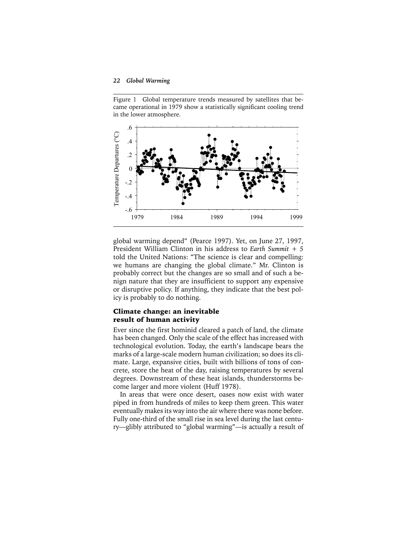Figure 1 Global temperature trends measured by satellites that became operational in 1979 show a statistically significant cooling trend in the lower atmosphere.



global warming depend" (Pearce 1997). Yet, on June 27, 1997, President William Clinton in his address to *Earth Summit + 5* told the United Nations: "The science is clear and compelling: we humans are changing the global climate." Mr. Clinton is probably correct but the changes are so small and of such a benign nature that they are insufficient to support any expensive or disruptive policy. If anything, they indicate that the best policy is probably to do nothing.

## Climate change: an inevitable result of human activity

Ever since the first hominid cleared a patch of land, the climate has been changed. Only the scale of the effect has increased with technological evolution. Today, the earth's landscape bears the marks of a large-scale modern human civilization; so does its climate. Large, expansive cities, built with billions of tons of concrete, store the heat of the day, raising temperatures by several degrees. Downstream of these heat islands, thunderstorms become larger and more violent (Huff 1978).

In areas that were once desert, oases now exist with water piped in from hundreds of miles to keep them green. This water eventually makes its way into the air where there was none before. Fully one-third of the small rise in sea level during the last century—glibly attributed to "global warming"—is actually a result of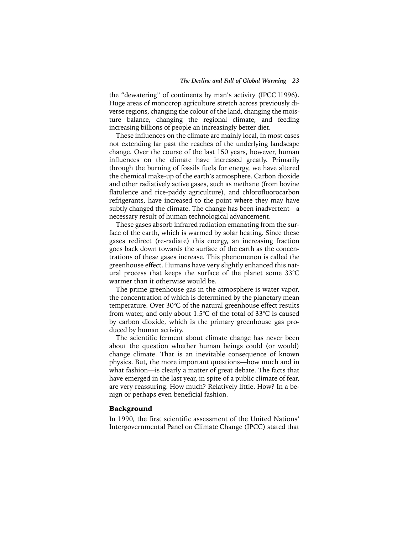the "dewatering" of continents by man's activity (IPCC I1996). Huge areas of monocrop agriculture stretch across previously diverse regions, changing the colour of the land, changing the moisture balance, changing the regional climate, and feeding increasing billions of people an increasingly better diet.

These influences on the climate are mainly local, in most cases not extending far past the reaches of the underlying landscape change. Over the course of the last 150 years, however, human influences on the climate have increased greatly. Primarily through the burning of fossils fuels for energy, we have altered the chemical make-up of the earth's atmosphere. Carbon dioxide and other radiatively active gases, such as methane (from bovine flatulence and rice-paddy agriculture), and chlorofluorocarbon refrigerants, have increased to the point where they may have subtly changed the climate. The change has been inadvertent—a necessary result of human technological advancement.

These gases absorb infrared radiation emanating from the surface of the earth, which is warmed by solar heating. Since these gases redirect (re-radiate) this energy, an increasing fraction goes back down towards the surface of the earth as the concentrations of these gases increase. This phenomenon is called the greenhouse effect. Humans have very slightly enhanced this natural process that keeps the surface of the planet some 33°C warmer than it otherwise would be.

The prime greenhouse gas in the atmosphere is water vapor, the concentration of which is determined by the planetary mean temperature. Over 30°C of the natural greenhouse effect results from water, and only about 1.5°C of the total of 33°C is caused by carbon dioxide, which is the primary greenhouse gas produced by human activity.

The scientific ferment about climate change has never been about the question whether human beings could (or would) change climate. That is an inevitable consequence of known physics. But, the more important questions—how much and in what fashion—is clearly a matter of great debate. The facts that have emerged in the last year, in spite of a public climate of fear, are very reassuring. How much? Relatively little. How? In a benign or perhaps even beneficial fashion.

### Background

In 1990, the first scientific assessment of the United Nations' Intergovernmental Panel on Climate Change (IPCC) stated that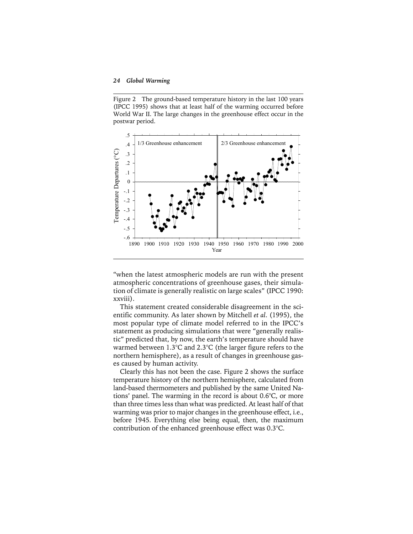Figure 2 The ground-based temperature history in the last 100 years (IPCC 1995) shows that at least half of the warming occurred before World War II. The large changes in the greenhouse effect occur in the postwar period.



"when the latest atmospheric models are run with the present atmospheric concentrations of greenhouse gases, their simulation of climate is generally realistic on large scales" (IPCC 1990: xxviii).

This statement created considerable disagreement in the scientific community. As later shown by Mitchell *et al*. (1995), the most popular type of climate model referred to in the IPCC's statement as producing simulations that were "generally realistic" predicted that, by now, the earth's temperature should have warmed between 1.3°C and 2.3°C (the larger figure refers to the northern hemisphere), as a result of changes in greenhouse gases caused by human activity.

Clearly this has not been the case. Figure 2 shows the surface temperature history of the northern hemisphere, calculated from land-based thermometers and published by the same United Nations' panel. The warming in the record is about 0.6°C, or more than three times less than what was predicted. At least half of that warming was prior to major changes in the greenhouse effect, i.e., before 1945. Everything else being equal, then, the maximum contribution of the enhanced greenhouse effect was 0.3°C.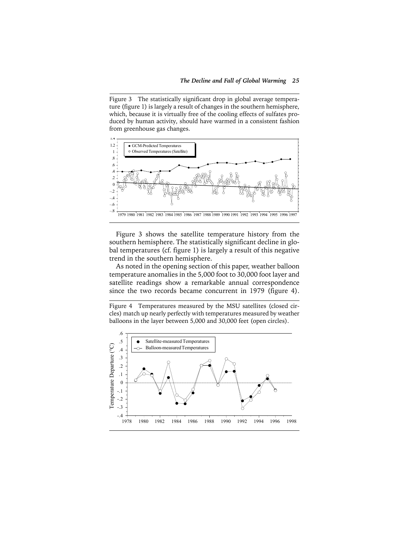Figure 3 The statistically significant drop in global average temperature (figure 1) is largely a result of changes in the southern hemisphere, which, because it is virtually free of the cooling effects of sulfates produced by human activity, should have warmed in a consistent fashion from greenhouse gas changes.



Figure 3 shows the satellite temperature history from the southern hemisphere. The statistically significant decline in global temperatures (cf. figure 1) is largely a result of this negative trend in the southern hemisphere.

As noted in the opening section of this paper, weather balloon temperature anomalies in the 5,000 foot to 30,000 foot layer and satellite readings show a remarkable annual correspondence since the two records became concurrent in 1979 (figure 4).

Figure 4 Temperatures measured by the MSU satellites (closed circles) match up nearly perfectly with temperatures measured by weather balloons in the layer between 5,000 and 30,000 feet (open circles).

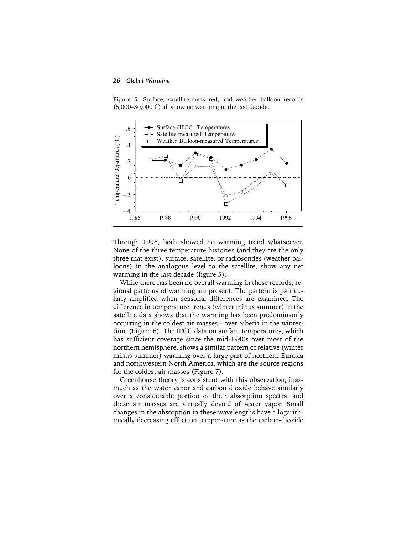Figure 5 Surface, satellite-measured, and weather balloon records (5,000–30,000 ft) all show no warming in the last decade.



Through 1996, both showed no warming trend whatsoever. None of the three temperature histories (and they are the only three that exist), surface, satellite, or radiosondes (weather balloons) in the analogous level to the satellite, show any net warming in the last decade (figure 5).

While there has been no overall warming in these records, regional patterns of warming are present. The pattern is particularly amplified when seasonal differences are examined. The difference in temperature trends (winter minus summer) in the satellite data shows that the warming has been predominantly occurring in the coldest air masses—over Siberia in the wintertime (Figure 6). The IPCC data on surface temperatures, which has sufficient coverage since the mid-1940s over most of the northern hemisphere, shows a similar pattern of relative (winter minus summer) warming over a large part of northern Eurasia and northwestern North America, which are the source regions for the coldest air masses (Figure 7).

Greenhouse theory is consistent with this observation, inasmuch as the water vapor and carbon dioxide behave similarly over a considerable portion of their absorption spectra, and these air masses are virtually devoid of water vapor. Small changes in the absorption in these wavelengths have a logarithmically decreasing effect on temperature as the carbon-dioxide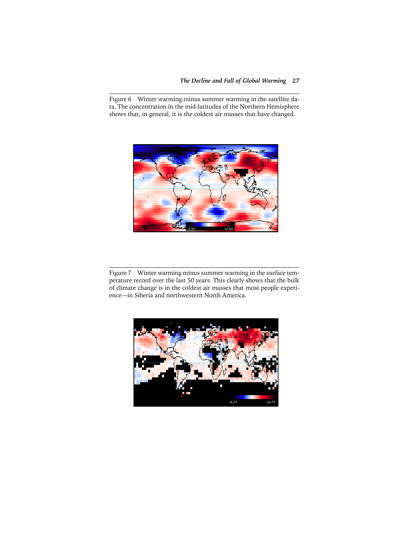Figure 6 Winter warming minus summer warming in the satellite data. The concentration in the mid-latitudes of the Northern Hemisphere shows that, in general, it is the coldest air masses that have changed.



Figure 7 Winter warming minus summer warming in the surface temperature record over the last 50 years. This clearly shows that the bulk of climate change is in the coldest air masses that most people experience—in Siberia and northwestern North America.

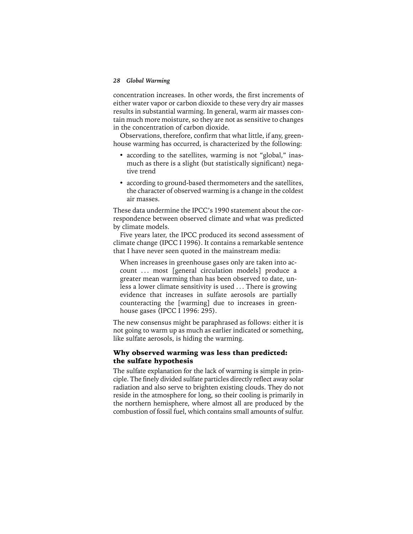concentration increases. In other words, the first increments of either water vapor or carbon dioxide to these very dry air masses results in substantial warming. In general, warm air masses contain much more moisture, so they are not as sensitive to changes in the concentration of carbon dioxide.

Observations, therefore, confirm that what little, if any, greenhouse warming has occurred, is characterized by the following:

- according to the satellites, warming is not "global," inasmuch as there is a slight (but statistically significant) negative trend
- according to ground-based thermometers and the satellites, the character of observed warming is a change in the coldest air masses.

These data undermine the IPCC's 1990 statement about the correspondence between observed climate and what was predicted by climate models.

Five years later, the IPCC produced its second assessment of climate change (IPCC I 1996). It contains a remarkable sentence that I have never seen quoted in the mainstream media:

When increases in greenhouse gases only are taken into account ... most [general circulation models] produce a greater mean warming than has been observed to date, unless a lower climate sensitivity is used . . . There is growing evidence that increases in sulfate aerosols are partially counteracting the [warming] due to increases in greenhouse gases (IPCC I 1996: 295).

The new consensus might be paraphrased as follows: either it is not going to warm up as much as earlier indicated or something, like sulfate aerosols, is hiding the warming.

# Why observed warming was less than predicted: the sulfate hypothesis

The sulfate explanation for the lack of warming is simple in principle. The finely divided sulfate particles directly reflect away solar radiation and also serve to brighten existing clouds. They do not reside in the atmosphere for long, so their cooling is primarily in the northern hemisphere, where almost all are produced by the combustion of fossil fuel, which contains small amounts of sulfur.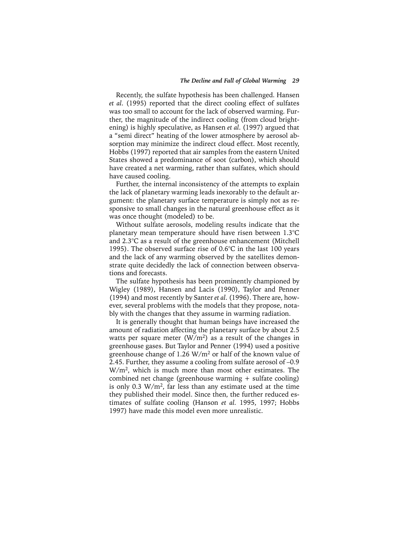Recently, the sulfate hypothesis has been challenged. Hansen *et al*. (1995) reported that the direct cooling effect of sulfates was too small to account for the lack of observed warming. Further, the magnitude of the indirect cooling (from cloud brightening) is highly speculative, as Hansen *et al*. (1997) argued that a "semi direct" heating of the lower atmosphere by aerosol absorption may minimize the indirect cloud effect. Most recently, Hobbs (1997) reported that air samples from the eastern United States showed a predominance of soot (carbon), which should have created a net warming, rather than sulfates, which should have caused cooling.

Further, the internal inconsistency of the attempts to explain the lack of planetary warming leads inexorably to the default argument: the planetary surface temperature is simply not as responsive to small changes in the natural greenhouse effect as it was once thought (modeled) to be.

Without sulfate aerosols, modeling results indicate that the planetary mean temperature should have risen between 1.3°C and 2.3°C as a result of the greenhouse enhancement (Mitchell 1995). The observed surface rise of 0.6°C in the last 100 years and the lack of any warming observed by the satellites demonstrate quite decidedly the lack of connection between observations and forecasts.

The sulfate hypothesis has been prominently championed by Wigley (1989), Hansen and Lacis (1990), Taylor and Penner (1994) and most recently by Santer *et al*. (1996). There are, however, several problems with the models that they propose, notably with the changes that they assume in warming radiation.

It is generally thought that human beings have increased the amount of radiation affecting the planetary surface by about 2.5 watts per square meter  $(W/m^2)$  as a result of the changes in greenhouse gases. But Taylor and Penner (1994) used a positive greenhouse change of 1.26  $W/m^2$  or half of the known value of 2.45. Further, they assume a cooling from sulfate aerosol of –0.9 W/m2, which is much more than most other estimates. The combined net change (greenhouse warming + sulfate cooling) is only 0.3  $W/m^2$ , far less than any estimate used at the time they published their model. Since then, the further reduced estimates of sulfate cooling (Hanson *et al.* 1995, 1997; Hobbs 1997) have made this model even more unrealistic.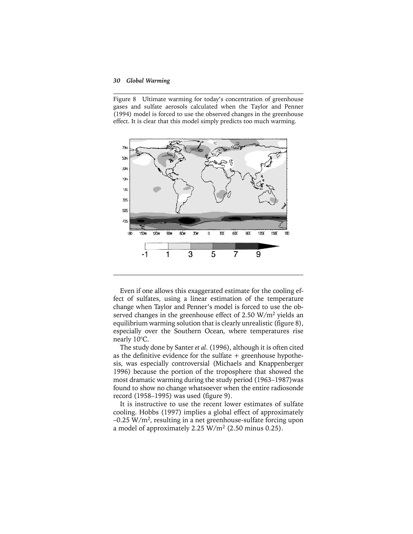Figure 8 Ultimate warming for today's concentration of greenhouse gases and sulfate aerosols calculated when the Taylor and Penner (1994) model is forced to use the observed changes in the greenhouse effect. It is clear that this model simply predicts too much warming.



Even if one allows this exaggerated estimate for the cooling effect of sulfates, using a linear estimation of the temperature change when Taylor and Penner's model is forced to use the observed changes in the greenhouse effect of 2.50 W/m<sup>2</sup> yields an equilibrium warming solution that is clearly unrealistic (figure 8), especially over the Southern Ocean, where temperatures rise nearly 10°C.

The study done by Santer *et al*. (1996), although it is often cited as the definitive evidence for the sulfate  $+$  greenhouse hypothesis, was especially controversial (Michaels and Knappenberger 1996) because the portion of the troposphere that showed the most dramatic warming during the study period (1963–1987)was found to show no change whatsoever when the entire radiosonde record (1958–1995) was used (figure 9).

It is instructive to use the recent lower estimates of sulfate cooling. Hobbs (1997) implies a global effect of approximately –0.25 W/m2, resulting in a net greenhouse-sulfate forcing upon a model of approximately 2.25  $W/m^2$  (2.50 minus 0.25).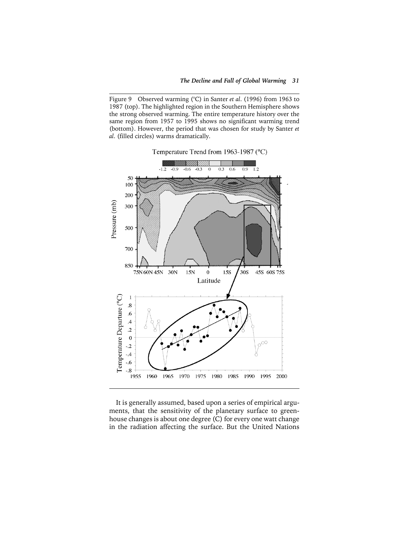Figure 9 Observed warming (°C) in Santer *et al*. (1996) from 1963 to 1987 (top). The highlighted region in the Southern Hemisphere shows the strong observed warming. The entire temperature history over the same region from 1957 to 1995 shows no significant warming trend (bottom). However, the period that was chosen for study by Santer *et al*. (filled circles) warms dramatically.



It is generally assumed, based upon a series of empirical arguments, that the sensitivity of the planetary surface to greenhouse changes is about one degree (C) for every one watt change in the radiation affecting the surface. But the United Nations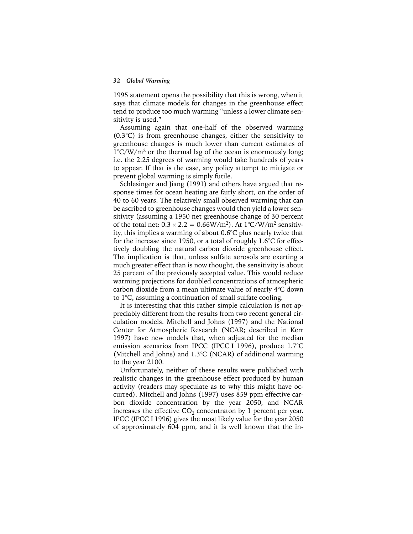1995 statement opens the possibility that this is wrong, when it says that climate models for changes in the greenhouse effect tend to produce too much warming "unless a lower climate sensitivity is used."

Assuming again that one-half of the observed warming (0.3°C) is from greenhouse changes, either the sensitivity to greenhouse changes is much lower than current estimates of  $1^{\circ}$ C/W/m<sup>2</sup> or the thermal lag of the ocean is enormously long; i.e. the 2.25 degrees of warming would take hundreds of years to appear. If that is the case, any policy attempt to mitigate or prevent global warming is simply futile.

Schlesinger and Jiang (1991) and others have argued that response times for ocean heating are fairly short, on the order of 40 to 60 years. The relatively small observed warming that can be ascribed to greenhouse changes would then yield a lower sensitivity (assuming a 1950 net greenhouse change of 30 percent of the total net:  $0.3 \times 2.2 = 0.66 W/m^2$ . At  $1^{\circ}C/W/m^2$  sensitivity, this implies a warming of about 0.6°C plus nearly twice that for the increase since 1950, or a total of roughly  $1.6^{\circ}$ C for effectively doubling the natural carbon dioxide greenhouse effect. The implication is that, unless sulfate aerosols are exerting a much greater effect than is now thought, the sensitivity is about 25 percent of the previously accepted value. This would reduce warming projections for doubled concentrations of atmospheric carbon dioxide from a mean ultimate value of nearly 4°C down to 1°C, assuming a continuation of small sulfate cooling.

It is interesting that this rather simple calculation is not appreciably different from the results from two recent general circulation models. Mitchell and Johns (1997) and the National Center for Atmospheric Research (NCAR; described in Kerr 1997) have new models that, when adjusted for the median emission scenarios from IPCC (IPCC I 1996), produce 1.7°C (Mitchell and Johns) and 1.3°C (NCAR) of additional warming to the year 2100.

Unfortunately, neither of these results were published with realistic changes in the greenhouse effect produced by human activity (readers may speculate as to why this might have occurred). Mitchell and Johns (1997) uses 859 ppm effective carbon dioxide concentration by the year 2050, and NCAR increases the effective  $CO<sub>2</sub>$  concentraton by 1 percent per year. IPCC (IPCC I 1996) gives the most likely value for the year 2050 of approximately 604 ppm, and it is well known that the in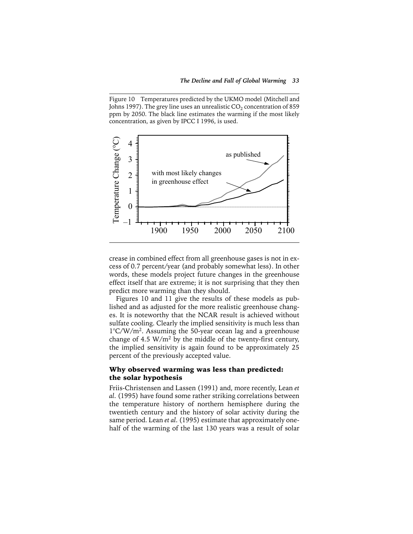Figure 10 Temperatures predicted by the UKMO model (Mitchell and Johns 1997). The grey line uses an unrealistic  $CO<sub>2</sub>$  concentration of 859 ppm by 2050. The black line estimates the warming if the most likely concentration, as given by IPCC I 1996, is used.



crease in combined effect from all greenhouse gases is not in excess of 0.7 percent/year (and probably somewhat less). In other words, these models project future changes in the greenhouse effect itself that are extreme; it is not surprising that they then predict more warming than they should.

Figures 10 and 11 give the results of these models as published and as adjusted for the more realistic greenhouse changes. It is noteworthy that the NCAR result is achieved without sulfate cooling. Clearly the implied sensitivity is much less than 1°C/W/m2. Assuming the 50-year ocean lag and a greenhouse change of 4.5  $W/m^2$  by the middle of the twenty-first century, the implied sensitivity is again found to be approximately 25 percent of the previously accepted value.

### Why observed warming was less than predicted: the solar hypothesis

Friis-Christensen and Lassen (1991) and, more recently, Lean *et al*. (1995) have found some rather striking correlations between the temperature history of northern hemisphere during the twentieth century and the history of solar activity during the same period. Lean *et al*. (1995) estimate that approximately onehalf of the warming of the last 130 years was a result of solar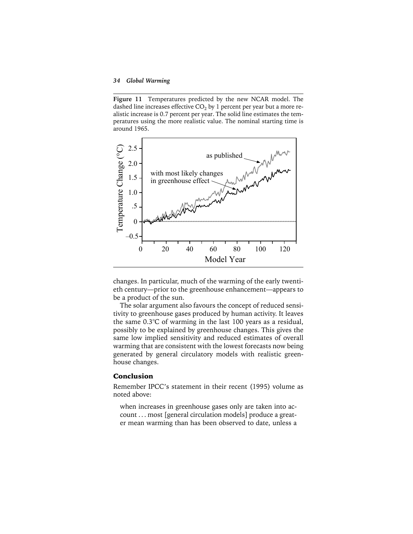**Figure 11** Temperatures predicted by the new NCAR model. The dashed line increases effective  $CO<sub>2</sub>$  by 1 percent per year but a more realistic increase is 0.7 percent per year. The solid line estimates the temperatures using the more realistic value. The nominal starting time is around 1965.



changes. In particular, much of the warming of the early twentieth century—prior to the greenhouse enhancement—appears to be a product of the sun.

The solar argument also favours the concept of reduced sensitivity to greenhouse gases produced by human activity. It leaves the same 0.3°C of warming in the last 100 years as a residual, possibly to be explained by greenhouse changes. This gives the same low implied sensitivity and reduced estimates of overall warming that are consistent with the lowest forecasts now being generated by general circulatory models with realistic greenhouse changes.

## Conclusion

Remember IPCC's statement in their recent (1995) volume as noted above:

when increases in greenhouse gases only are taken into account . . . most [general circulation models] produce a great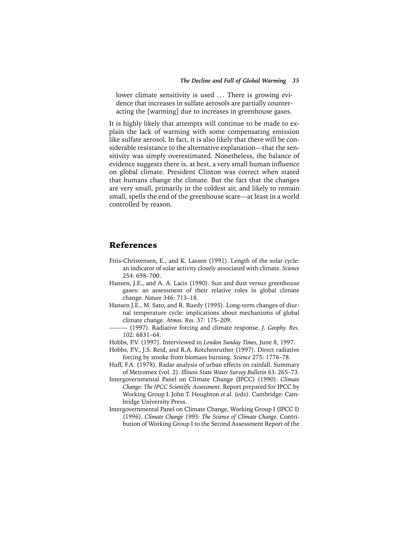lower climate sensitivity is used ... There is growing evidence that increases in sulfate aerosols are partially counteracting the [warming] due to increases in greenhouse gases.

It is highly likely that attempts will continue to be made to explain the lack of warming with some compensating emission like sulfate aerosol. In fact, it is also likely that there will be considerable resistance to the alternative explanation—that the sensitivity was simply overestimated. Nonetheless, the balance of evidence suggests there is, at best, a very small human influence on global climate. President Clinton was correct when stated that humans change the climate. But the fact that the changes are very small, primarily in the coldest air, and likely to remain small, spells the end of the greenhouse scare—at least in a world controlled by reason.

## References

- Friis-Christensen, E., and K. Lassen (1991). Length of the solar cycle: an indicator of solar activity closely associated with climate. *Science* 254: 698–700.
- Hansen, J.E., and A. A. Lacis (1990). Sun and dust versus greenhouse gases: an assessment of their relative roles in global climate change. *Nature* 346: 713–18.
- Hansen J.E., M. Sato, and R. Ruedy (1995). Long-term changes of diurnal temperature cycle: implications about mechanisms of global climate change. *Atmos. Res.* 37: 175–209.
	- ——— (1997). Radiative forcing and climate response. *J. Geophy. Res.* 102: 6831–64.
- Hobbs, P.V. (1997). Interviewed in *London Sunday Times*, June 8, 1997.
- Hobbs, P.V., J.S. Reid, and R.A. Kotchenruther (1997). Direct radiative forcing by smoke from biomass burning. *Science* 275: 1776–78.
- Huff, F.A. (1978). Radar analysis of urban effects on rainfall. Summary of Metromex (vol. 2). *Illinois State Water Survey Bulletin* 63: 265–73.
- Intergovernmental Panel on Climate Change (IPCC) (1990). *Climate Change: The IPCC Scientific Assessment*. Report prepared for IPCC by Working Group I. John T. Houghton *et al*. (eds). Cambridge: Cambridge University Press.
- Intergovernmental Panel on Climate Change, Working Group I (IPCC I) (1996). *Climate Change 1995: The Science of Climate Change*. Contribution of Working Group I to the Second Assessment Report of the